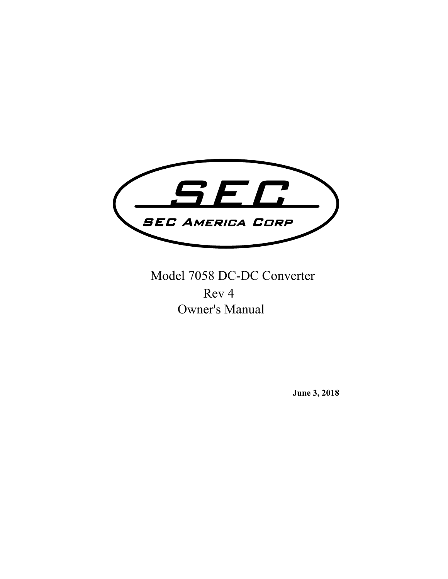

Model 7058 DC-DC Converter Owner's Manual Rev 4

**June 3, 2018**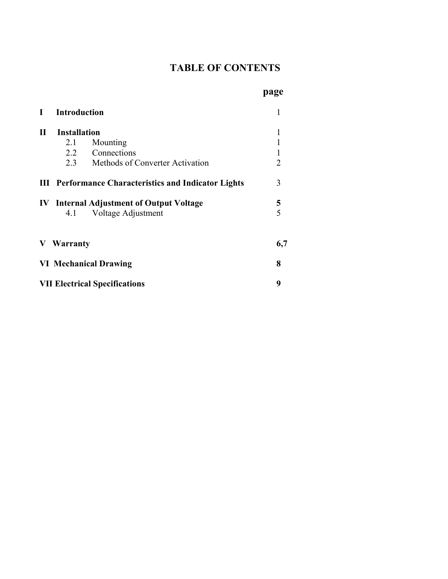## **TABLE OF CONTENTS**

| L                                         | <b>Introduction</b><br><b>Installation</b> |                                                             |                |
|-------------------------------------------|--------------------------------------------|-------------------------------------------------------------|----------------|
| $\mathbf{I}$                              |                                            |                                                             |                |
|                                           | 2.1                                        | Mounting                                                    |                |
|                                           |                                            | 2.2 Connections                                             |                |
|                                           |                                            | 2.3 Methods of Converter Activation                         | $\overline{2}$ |
|                                           |                                            | <b>III</b> Performance Characteristics and Indicator Lights | 3              |
|                                           |                                            | <b>IV</b> Internal Adjustment of Output Voltage             | 5              |
|                                           | 4.1                                        | Voltage Adjustment                                          |                |
| Warranty<br>V                             |                                            |                                                             | 6,7            |
|                                           | <b>VI Mechanical Drawing</b>               |                                                             |                |
| 9<br><b>VII Electrical Specifications</b> |                                            |                                                             |                |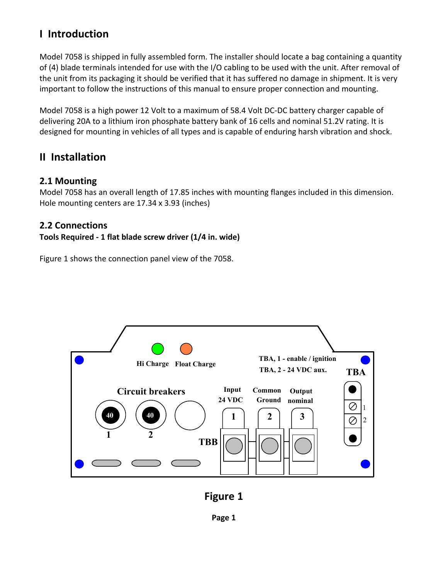## **I Introduction**

Model 7058 is shipped in fully assembled form. The installer should locate a bag containing a quantity of (4) blade terminals intended for use with the I/O cabling to be used with the unit. After removal of the unit from its packaging it should be verified that it has suffered no damage in shipment. It is very important to follow the instructions of this manual to ensure proper connection and mounting.

Model 7058 is a high power 12 Volt to a maximum of 58.4 Volt DC‐DC battery charger capable of delivering 20A to a lithium iron phosphate battery bank of 16 cells and nominal 51.2V rating. It is designed for mounting in vehicles of all types and is capable of enduring harsh vibration and shock.

### **II Installation**

#### **2.1 Mounting**

Model 7058 has an overall length of 17.85 inches with mounting flanges included in this dimension. Hole mounting centers are 17.34 x 3.93 (inches)

### **2.2 Connections**

#### **Tools Required ‐ 1 flat blade screw driver (1/4 in. wide)**

Figure 1 shows the connection panel view of the 7058.



**Figure 1**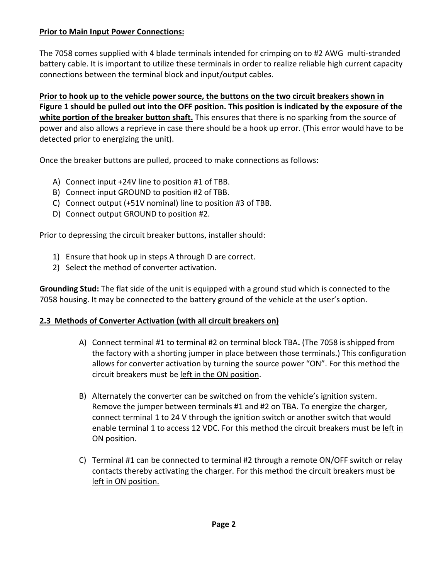#### **Prior to Main Input Power Connections:**

The 7058 comes supplied with 4 blade terminals intended for crimping on to #2 AWG multi‐stranded battery cable. It is important to utilize these terminals in order to realize reliable high current capacity connections between the terminal block and input/output cables.

**Prior to hook up to the vehicle power source, the buttons on the two circuit breakers shown in Figure 1 should be pulled out into the OFF position. This position is indicated by the exposure of the white portion of the breaker button shaft.** This ensures that there is no sparking from the source of power and also allows a reprieve in case there should be a hook up error. (This error would have to be detected prior to energizing the unit).

Once the breaker buttons are pulled, proceed to make connections as follows:

- A) Connect input +24V line to position #1 of TBB.
- B) Connect input GROUND to position #2 of TBB.
- C) Connect output (+51V nominal) line to position #3 of TBB.
- D) Connect output GROUND to position #2.

Prior to depressing the circuit breaker buttons, installer should:

- 1) Ensure that hook up in steps A through D are correct.
- 2) Select the method of converter activation.

**Grounding Stud:** The flat side of the unit is equipped with a ground stud which is connected to the 7058 housing. It may be connected to the battery ground of the vehicle at the user's option.

### **2.3 Methods of Converter Activation (with all circuit breakers on)**

- A) Connect terminal #1 to terminal #2 on terminal block TBA**.** (The 7058 is shipped from the factory with a shorting jumper in place between those terminals.) This configuration allows for converter activation by turning the source power "ON". For this method the circuit breakers must be left in the ON position.
- B) Alternately the converter can be switched on from the vehicle's ignition system. Remove the jumper between terminals #1 and #2 on TBA. To energize the charger, connect terminal 1 to 24 V through the ignition switch or another switch that would enable terminal 1 to access 12 VDC. For this method the circuit breakers must be left in ON position.
- C) Terminal #1 can be connected to terminal #2 through a remote ON/OFF switch or relay contacts thereby activating the charger. For this method the circuit breakers must be left in ON position.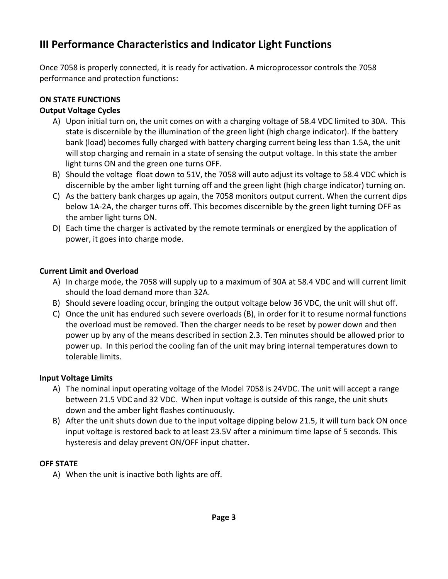# **III Performance Characteristics and Indicator Light Functions**

Once 7058 is properly connected, it is ready for activation. A microprocessor controls the 7058 performance and protection functions:

## **ON STATE FUNCTIONS**

#### **Output Voltage Cycles**

- A) Upon initial turn on, the unit comes on with a charging voltage of 58.4 VDC limited to 30A. This state is discernible by the illumination of the green light (high charge indicator). If the battery bank (load) becomes fully charged with battery charging current being less than 1.5A, the unit will stop charging and remain in a state of sensing the output voltage. In this state the amber light turns ON and the green one turns OFF.
- B) Should the voltage float down to 51V, the 7058 will auto adjust its voltage to 58.4 VDC which is discernible by the amber light turning off and the green light (high charge indicator) turning on.
- C) As the battery bank charges up again, the 7058 monitors output current. When the current dips below 1A‐2A, the charger turns off. This becomes discernible by the green light turning OFF as the amber light turns ON.
- D) Each time the charger is activated by the remote terminals or energized by the application of power, it goes into charge mode.

#### **Current Limit and Overload**

- A) In charge mode, the 7058 will supply up to a maximum of 30A at 58.4 VDC and will current limit should the load demand more than 32A.
- B) Should severe loading occur, bringing the output voltage below 36 VDC, the unit will shut off.
- C) Once the unit has endured such severe overloads (B), in order for it to resume normal functions the overload must be removed. Then the charger needs to be reset by power down and then power up by any of the means described in section 2.3. Ten minutes should be allowed prior to power up. In this period the cooling fan of the unit may bring internal temperatures down to tolerable limits.

#### **Input Voltage Limits**

- A) The nominal input operating voltage of the Model 7058 is 24VDC. The unit will accept a range between 21.5 VDC and 32 VDC. When input voltage is outside of this range, the unit shuts down and the amber light flashes continuously.
- B) After the unit shuts down due to the input voltage dipping below 21.5, it will turn back ON once input voltage is restored back to at least 23.5V after a minimum time lapse of 5 seconds. This hysteresis and delay prevent ON/OFF input chatter.

### **OFF STATE**

A) When the unit is inactive both lights are off.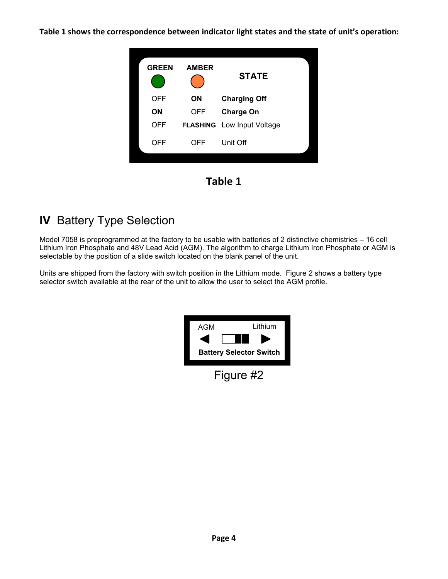**Table 1 shows the correspondence between indicator light states and the state of unit's operation:** 



**Table 1** 

# **IV** Battery Type Selection

Model 7058 is preprogrammed at the factory to be usable with batteries of 2 distinctive chemistries – 16 cell Lithium Iron Phosphate and 48V Lead Acid (AGM). The algorithm to charge Lithium Iron Phosphate or AGM is selectable by the position of a slide switch located on the blank panel of the unit.

Units are shipped from the factory with switch position in the Lithium mode. Figure 2 shows a battery type selector switch available at the rear of the unit to allow the user to select the AGM profile.

| AGM       | Lithium                        |  |  |
|-----------|--------------------------------|--|--|
|           | I I                            |  |  |
|           | <b>Battery Selector Switch</b> |  |  |
| Figure #2 |                                |  |  |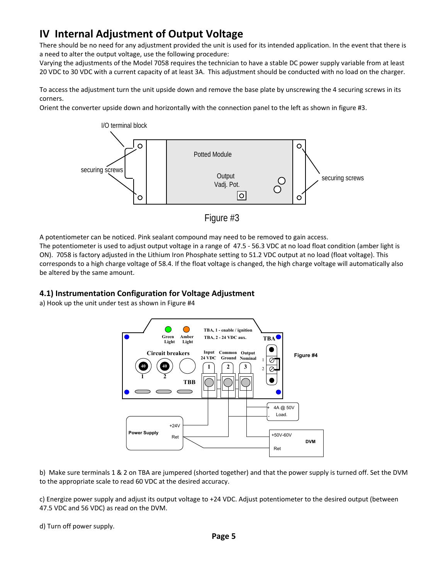# **IV Internal Adjustment of Output Voltage**

There should be no need for any adjustment provided the unit is used for its intended application. In the event that there is a need to alter the output voltage, use the following procedure:

Varying the adjustments of the Model 7058 requires the technician to have a stable DC power supply variable from at least 20 VDC to 30 VDC with a current capacity of at least 3A. This adjustment should be conducted with no load on the charger.

To access the adjustment turn the unit upside down and remove the base plate by unscrewing the 4 securing screws in its corners.

Orient the converter upside down and horizontally with the connection panel to the left as shown in figure #3.



Figure #3

A potentiometer can be noticed. Pink sealant compound may need to be removed to gain access.

The potentiometer is used to adjust output voltage in a range of 47.5 ‐ 56.3 VDC at no load float condition (amber light is ON). 7058 is factory adjusted in the Lithium Iron Phosphate setting to 51.2 VDC output at no load (float voltage). This corresponds to a high charge voltage of 58.4. If the float voltage is changed, the high charge voltage will automatically also be altered by the same amount.

#### **4.1) Instrumentation Configuration for Voltage Adjustment**

a) Hook up the unit under test as shown in Figure #4



b) Make sure terminals 1 & 2 on TBA are jumpered (shorted together) and that the power supply is turned off. Set the DVM to the appropriate scale to read 60 VDC at the desired accuracy.

c) Energize power supply and adjust its output voltage to +24 VDC. Adjust potentiometer to the desired output (between 47.5 VDC and 56 VDC) as read on the DVM.

d) Turn off power supply.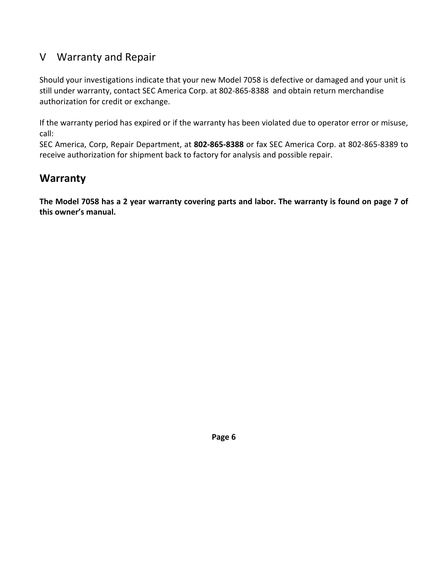## V Warranty and Repair

Should your investigations indicate that your new Model 7058 is defective or damaged and your unit is still under warranty, contact SEC America Corp. at 802‐865‐8388 and obtain return merchandise authorization for credit or exchange.

If the warranty period has expired or if the warranty has been violated due to operator error or misuse, call:

SEC America, Corp, Repair Department, at **802‐865‐8388** or fax SEC America Corp. at 802‐865‐8389 to receive authorization for shipment back to factory for analysis and possible repair.

## **Warranty**

**The Model 7058 has a 2 year warranty covering parts and labor. The warranty is found on page 7 of this owner's manual.** 

**Page 6**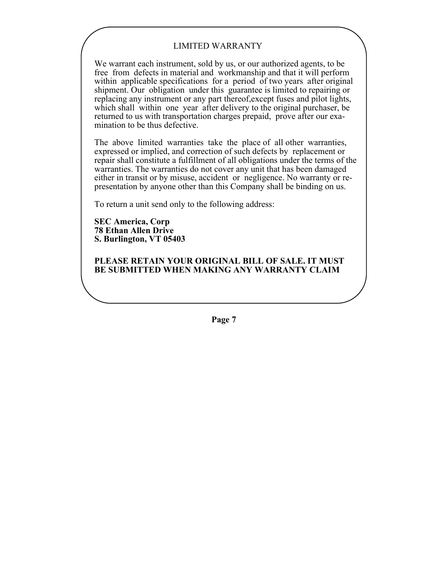#### LIMITED WARRANTY

We warrant each instrument, sold by us, or our authorized agents, to be free from defects in material and workmanship and that it will perform within applicable specifications for a period of two years after original shipment. Our obligation under this guarantee is limited to repairing or replacing any instrument or any part thereof,except fuses and pilot lights, which shall within one year after delivery to the original purchaser, be returned to us with transportation charges prepaid, prove after our examination to be thus defective.

The above limited warranties take the place of all other warranties, expressed or implied, and correction of such defects by replacement or repair shall constitute a fulfillment of all obligations under the terms of the warranties. The warranties do not cover any unit that has been damaged either in transit or by misuse, accident or negligence. No warranty or representation by anyone other than this Company shall be binding on us.

To return a unit send only to the following address:

**SEC America, Corp 78 Ethan Allen Drive S. Burlington, VT 05403**

**PLEASE RETAIN YOUR ORIGINAL BILL OF SALE. IT MUST BE SUBMITTED WHEN MAKING ANY WARRANTY CLAIM**

**Page 7**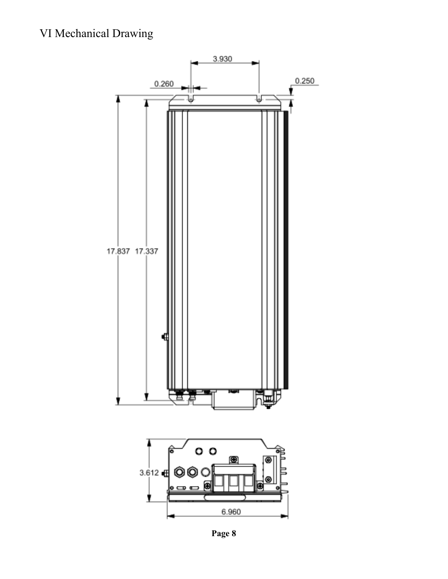

**Page 8**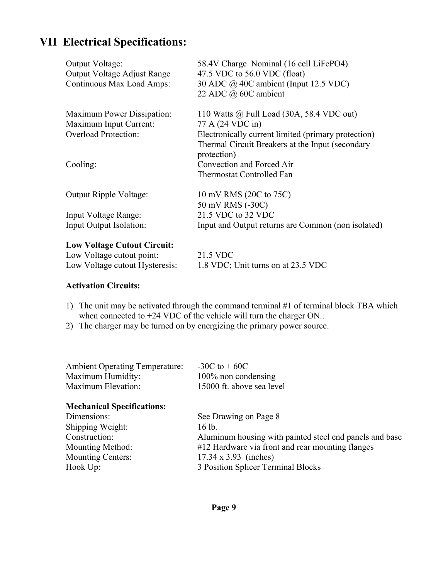# **VII Electrical Specifications:**

| Output Voltage:<br>Output Voltage Adjust Range<br>Continuous Max Load Amps: | 58.4V Charge Nominal (16 cell LiFePO4)<br>47.5 VDC to $56.0$ VDC (float)<br>30 ADC @ 40C ambient (Input 12.5 VDC)<br>22 ADC @ 60C ambient |
|-----------------------------------------------------------------------------|-------------------------------------------------------------------------------------------------------------------------------------------|
| <b>Maximum Power Dissipation:</b>                                           | 110 Watts @ Full Load (30A, 58.4 VDC out)                                                                                                 |
| Maximum Input Current:                                                      | 77 A (24 VDC in)                                                                                                                          |
| <b>Overload Protection:</b>                                                 | Electronically current limited (primary protection)                                                                                       |
|                                                                             | Thermal Circuit Breakers at the Input (secondary<br>protection)                                                                           |
| Cooling:                                                                    | Convection and Forced Air                                                                                                                 |
|                                                                             | Thermostat Controlled Fan                                                                                                                 |
| Output Ripple Voltage:                                                      | 10 mV RMS (20C to 75C)                                                                                                                    |
|                                                                             | 50 mV RMS (-30C)                                                                                                                          |
| Input Voltage Range:                                                        | 21.5 VDC to 32 VDC                                                                                                                        |
| Input Output Isolation:                                                     | Input and Output returns are Common (non isolated)                                                                                        |
| Low Voltage Cutout Circuit:                                                 |                                                                                                                                           |

| LOW YORAGE CUROUL CITCUIL.     |                                    |  |
|--------------------------------|------------------------------------|--|
| Low Voltage cutout point:      | 21.5 VDC                           |  |
| Low Voltage cutout Hysteresis: | 1.8 VDC; Unit turns on at 23.5 VDC |  |

#### **Activation Circuits:**

- 1) The unit may be activated through the command terminal #1 of terminal block TBA which when connected to +24 VDC of the vehicle will turn the charger ON..
- 2) The charger may be turned on by energizing the primary power source.

| Maximum Humidity:  | 100% non condensing       |
|--------------------|---------------------------|
| Maximum Elevation: | 15000 ft. above sea level |

#### **Mechanical Specifications:**

| Dimensions:              | See Drawing on Page 8                                   |
|--------------------------|---------------------------------------------------------|
| Shipping Weight:         | 16 lb.                                                  |
| Construction:            | Aluminum housing with painted steel end panels and base |
| Mounting Method:         | #12 Hardware via front and rear mounting flanges        |
| <b>Mounting Centers:</b> | $17.34 \times 3.93$ (inches)                            |
| Hook Up:                 | 3 Position Splicer Terminal Blocks                      |
|                          |                                                         |